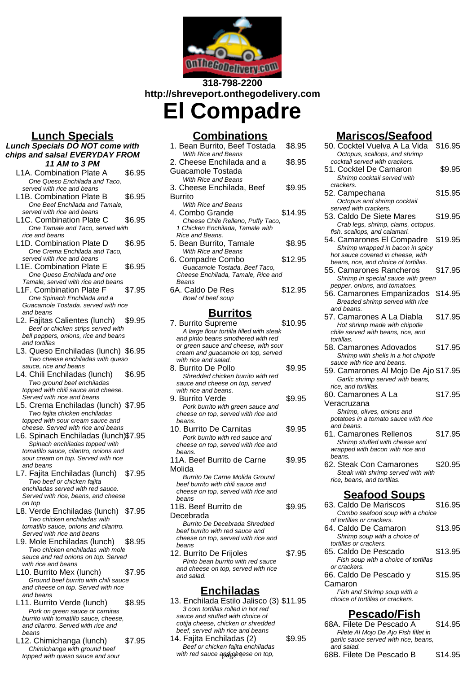

# **318-798-2200 http://shreveport.onthegodelivery.com**

**El Compadre**

# **Lunch Specials**

#### **Lunch Specials DO NOT come with chips and salsa! EVERYDAY FROM 11 AM to 3 PM**

- L1A. Combination Plate A \$6.95 One Queso Enchilada and Taco, served with rice and beans
- L1B. Combination Plate B \$6.95 One Beef Enchilada and Tamale, served with rice and beans
- L1C. Combination Plate C \$6.95 One Tamale and Taco, served with rice and beans
- L1D. Combination Plate D \$6.95 One Crema Enchilada and Taco, served with rice and beans
- L1E. Combination Plate E \$6.95 One Queso Enchilada and one Tamale, served with rice and beans
- L1F. Combination Plate F \$7.95 One Spinach Enchilada and a Guacamole Tostada. served with rice and beans
- L2. Faiitas Calientes (lunch) \$9.95 Beef or chicken strips served with bell peppers, onions, rice and beans and tortillas
- L3. Queso Enchiladas (lunch) \$6.95 Two cheese enchiladas with queso sauce, rice and beans
- L4. Chili Enchiladas (lunch) \$6.95 Two ground beef enchiladas topped with chili sauce and cheese. Served with rice and beans
- L5. Crema Enchiladas (lunch) \$7.95 Two fajita chicken enchiladas topped with sour cream sauce and cheese. Served with rice and beans
- L6. Spinach Enchiladas (lunch)\$7.95 Spinach enchiladas topped with tomatillo sauce, cilantro, onions and sour cream on top. Served with rice and beans
- L7. Fajita Enchiladas (lunch) \$7.95 Two beef or chicken fajita enchiladas served with red sauce. Served with rice, beans, and cheese on top
- L8. Verde Enchiladas (lunch) \$7.95 Two chicken enchiladas with tomatillo sauce, onions and cilantro. Served with rice and beans
- L9. Mole Enchiladas (lunch) \$8.95 Two chicken enchiladas with mole sauce and red onions on top. Served with rice and beans
- L10. Burrito Mex (lunch) \$7.95 Ground beef burrito with chili sauce and cheese on top. Served with rice and beans
- L11. Burrito Verde (lunch) \$8.95 Pork on green sauce or carnitas burrito with tomatillo sauce, cheese, and cilantro. Served with rice and beans
- L12. Chimichanga (lunch) \$7.95 Chimichanga with ground beef topped with queso sauce and sour

## **Combinations**

| 1. Bean Burrito, Beef Tostada      | \$8.95  |
|------------------------------------|---------|
| With Rice and Beans                |         |
| 2. Cheese Enchilada and a          | \$8.95  |
| Guacamole Tostada                  |         |
| With Rice and Beans                |         |
| 3. Cheese Enchilada, Beef          | \$9.95  |
| Burrito                            |         |
| With Rice and Beans                |         |
| 4. Combo Grande                    | \$14.95 |
| Cheese Chile Relleno, Puffy Taco,  |         |
| 1 Chicken Enchilada, Tamale with   |         |
| Rice and Beans.                    |         |
| 5. Bean Burrito, Tamale            | \$8.95  |
| <b>With Rice and Beans</b>         |         |
| 6. Compadre Combo                  | \$12.95 |
| Guacamole Tostada, Beef Taco,      |         |
| Cheese Enchilada, Tamale, Rice and |         |
| Beans                              |         |
| 6A. Caldo De Res                   | \$12.95 |
| Bowl of beef soup                  |         |
| <b>Burritos</b>                    |         |
| 7. Burrito Supreme                 | S10 95  |

- 7. Burrito Supreme  $$10.95$ A large flour tortilla filled with steak and pinto beans smothered with red or green sauce and cheese, with sour cream and guacamole on top, served with rice and salad.
- 8. Burrito De Pollo **\$9.95** Shredded chicken burrito with red sauce and cheese on top, served with rice and beans.
- 9. Burrito Verde 69.95 Pork burrito with green sauce and cheese on top, served with rice and beans.
- 10. Burrito De Carnitas \$9.95 Pork burrito with red sauce and cheese on top, served with rice and beans. 11A. Beef Burrito de Carne \$9.95
- Molida Burrito De Carne Molida Ground beef burrito with chili sauce and cheese on top, served with rice and beans
- 11B. Beef Burrito de Decebrada \$9.95 Burrito De Decebrada Shredded beef burrito with red sauce and cheese on top, served with rice and beans 12. Burrito De Frijoles \$7.95 Pinto bean burrito with red sauce
- and cheese on top, served with rice and salad.

## **Enchiladas**

- 13. Enchilada Estilo Jalisco (3) \$11.95 3 corn tortillas rolled in hot red sauce and stuffed with choice of cotija cheese, chicken or shredded beef, served with rice and beans
- 14. Fajita Enchiladas (2) \$9.95 Beef or chicken fajita enchiladas with red sauce applicating ese on top,

# **Mariscos/Seafood**

| <u> ariscos/Seafood</u>                                                                                                        |         |
|--------------------------------------------------------------------------------------------------------------------------------|---------|
| 50. Cocktel Vuelva A La Vida<br>Octopus, scallops, and shrimp<br>cocktail served with crackers.                                | \$16.95 |
| 51. Cocktel De Camaron<br>Shrimp cocktail served with<br>crackers.                                                             | \$9.95  |
| 52. Campechana<br>Octopus and shrimp cocktail<br>served with crackers.                                                         | \$15.95 |
| 53. Caldo De Siete Mares<br>Crab legs, shrimp, clams, octopus,<br>fish, scallops, and calamari.                                | \$19.95 |
| 54. Camarones El Compadre<br>Shrimp wrapped in bacon in spicy<br>hot sauce covered in cheese, with                             | \$19.95 |
| beans, rice, and choice of tortillas.<br>55. Camarones Rancheros<br>Shrimp in special sauce with green                         | \$17.95 |
| pepper, onions, and tomatoes.<br>56. Camarones Empanizados<br>Breaded shrimp served with rice<br>and beans.                    | \$14.95 |
| 57. Camarones A La Diabla<br>Hot shrimp made with chipotle<br>chile served with beans, rice, and<br>tortillas.                 | \$17.95 |
| 58. Camarones Adovados<br>Shrimp with shells in a hot chipotle                                                                 | \$17.95 |
| sauce with rice and beans.<br>59. Camarones Al Mojo De Ajo \$17.95<br>Garlic shrimp served with beans,<br>rice, and tortillas. |         |
| 60. Camarones A La<br>Veracruzana                                                                                              | \$17.95 |
| Shrimp, olives, onions and<br>potatoes in a tomato sauce with rice<br>and beans.                                               |         |
| 61. Camarones Rellenos<br>Shrimp stuffed with cheese and<br>wrapped with bacon with rice and<br>beans.                         | \$17.95 |
| 62. Steak Con Camarones<br>Steak with shrimp served with with<br>rice, beans, and tortillas.                                   | \$20.95 |
| <u>Seatood Soups</u>                                                                                                           |         |
| 63. Caldo De Mariscos<br>Combo seafood soup with a choice<br>of tortillas or crackers.                                         | \$16.95 |
| 64. Caldo De Camaron<br>Shrimp soup with a choice of<br>tortillas or crackers.                                                 | \$13.95 |
| 65. Caldo De Pescado<br>Fish soup with a choice of tortillas                                                                   | \$13.95 |
| or crackers.<br>66. Caldo De Pescado y<br>Camaron<br>Fish and Shrimp soup with a<br>choice of tortillas or crackers.           | \$15.95 |
| <u>Pescado/Fish</u>                                                                                                            |         |

68A. Filete De Pescado A \$14.95 Filete Al Mojo De Ajo Fish fillet in garlic sauce served with rice, beans, and salad. 68B. Filete De Pescado B \$14.95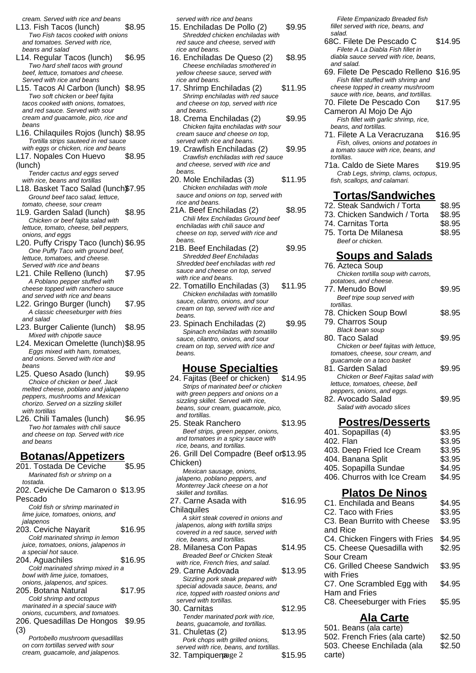cream. Served with rice and beans

- L13. Fish Tacos (lunch) \$8.95 Two Fish tacos cooked with onions and tomatoes. Served with rice, beans and salad
- L14. Regular Tacos (lunch) \$6.95 Two hard shell tacos with ground beef, lettuce, tomatoes and cheese. Served with rice and beans
- L15. Tacos Al Carbon (lunch) \$8.95 Two soft chicken or beef fajita tacos cooked with onions, tomatoes, and red sauce. Served with sour cream and guacamole, pico, rice and beans
- L16. Chilaquiles Rojos (lunch) \$8.95 Tortilla strips sauteed in red sauce with eggs or chicken, rice and beans
- L17. Nopales Con Huevo (lunch) \$8.95
- Tender cactus and eggs served with rice, beans and tortillas
- L18. Basket Taco Salad (lunch\$7.95 Ground beef taco salad, lettuce, tomato, cheese, sour cream
- 1L9. Garden Salad (lunch) \$8.95 Chicken or beef fajita salad with lettuce, tomato, cheese, bell peppers, onions, and eggs
- L20. Puffy Crispy Taco (lunch) \$6.95 One Puffy Taco with ground beef, lettuce, tomatoes, and cheese. Served with rice and beans
- L21. Chile Relleno (lunch) \$7.95 A Poblano pepper stuffed with cheese topped with ranchero sauce and served with rice and beans
- L22. Gringo Burger (lunch) \$7.95 A classic cheeseburger with fries and salad
- L23. Burger Caliente (lunch) \$8.95 Mixed with chipotle sauce
- L24. Mexican Omelette (lunch)\$8.95 Eggs mixed with ham, tomatoes, and onions. Served with rice and beans
- L25. Queso Asado (lunch) \$9.95 Choice of chicken or beef. Jack melted cheese, poblano and jalapeno peppers, mushrooms and Mexican chorizo. Served on a sizzling skillet with tortillas
- L26. Chili Tamales (lunch) \$6.95 Two hot tamales with chili sauce and cheese on top. Served with rice and beans

# **Botanas/Appetizers**

- 201. Tostada De Ceviche \$5.95 Marinated fish or shrimp on a tostada. 202. Ceviche De Camaron o \$13.95 Pescado Cold fish or shrimp marinated in lime juice, tomatoes, onions, and jalapenos 203. Ceviche Nayarit \$16.95 Cold marinated shrimp in lemon juice, tomatoes, onions, jalapenos in a special hot sauce. 204. Aguachiles \$16.95 Cold marinated shrimp mixed in a bowl with lime juice, tomatoes, onions, jalapenos, and spices. 205. Botana Natural \$17.95 Cold shrimp and octopus marinated in a special sauce with onions, cucumbers, and tomatoes. 206. Quesadillas De Hongos \$9.95 (3) Portobello mushroom quesadillas
	- on corn tortillas served with sour cream, guacamole, and jalapenos.

served with rice and beans

- 15. Enchiladas De Pollo (2) \$9.95 Shredded chicken enchiladas with red sauce and cheese, served with rice and beans.
- 16. Enchiladas De Queso (2) \$8.95 Cheese enchiladas smothered in yellow cheese sauce, served with rice and beans.
- 17. Shrimp Enchiladas (2) \$11.95 Shrimp enchiladas with red sauce and cheese on top, served with rice and beans.
- 18. Crema Enchiladas (2) \$9.95 Chicken fajita enchiladas with sour cream sauce and cheese on top, served with rice and beans.
- 19. Crawfish Enchiladas (2) \$9.95 Crawfish enchiladas with red sauce and cheese, served with rice and beans.
- 20. Mole Enchiladas (3) \$11.95 Chicken enchiladas with mole sauce and onions on top, served with rice and beans.
- 21A. Beef Enchiladas (2) \$8.95 Chili Mex Enchiladas Ground beef enchiladas with chili sauce and cheese on top, served with rice and beans.
- 21B. Beef Enchiladas (2) \$9.95 Shredded Beef Enchiladas Shredded beef enchiladas with red sauce and cheese on top, served with rice and beans.
- 22. Tomatillo Enchiladas (3) \$11.95 Chicken enchiladas with tomatillo sauce, cilantro, onions, and sour cream on top, served with rice and beans.
- 23. Spinach Enchiladas (2) \$9.95 Spinach enchiladas with tomatillo sauce, cilantro, onions, and sour cream on top, served with rice and beans.

### **House Specialties**

- 24. Fajitas (Beef or chicken) \$14.95 Strips of marinated beef or chicken with green peppers and onions on a sizzling skillet. Served with rice, beans, sour cream, guacamole, pico, and tortillas. 25. Steak Ranchero \$13.95 Beef strips, green pepper, onions, and tomatoes in a spicy sauce with rice, beans, and tortillas. 26. Grill Del Compadre (Beef or \$13.95 Chicken) Mexican sausage, onions, jalapeno, poblano peppers, and Monterrey Jack cheese on a hot skillet and tortillas. 27. Carne Asada with **Chilaquiles** \$16.95 A skirt steak covered in onions and jalapenos, along with tortilla strips covered in a red sauce, served with rice, beans, and tortillas. 28. Milanesa Con Papas \$14.95 Breaded Beef or Chicken Steak with rice, French fries, and salad. 29. Carne Adovada  $$13.95$ Sizzling pork steak prepared with special adovada sauce, beans, and rice, topped with roasted onions and served with tortillas. 30. Carnitas \$12.95 Tender marinated pork with rice, beans, guacamole, and tortillas. 31. Chuletas (2) \$13.95 Pork chops with grilled onions, served with rice, beans, and tortillas.
- $32.$  Tampiquena  $32.$   $$15.95$

Filete Empanizado Breaded fish fillet served with rice, beans, and salad.

- 68C. Filete De Pescado C \$14.95 Filete A La Diabla Fish fillet in diabla sauce served with rice, beans, and salad.
- 69. Filete De Pescado Relleno \$16.95 Fish fillet stuffed with shrimp and cheese topped in creamy mushroom sauce with rice, beans, and tortillas.
- 70. Filete De Pescado Con \$17.95
- Cameron Al Mojo De Ajo Fish fillet with garlic shrimp, rice, beans, and tortillas.
- 71. Filete A La Veracruzana \$16.95 Fish, olives, onions and potatoes in a tomato sauce with rice, beans, and tortillas.
- 71a. Caldo de Siete Mares \$19.95 Crab Legs, shrimp, clams, octopus, fish, scallops, and calamari.

#### **Tortas/Sandwiches**

- 72. Steak Sandwich / Torta \$8.95
- 73. Chicken Sandwich / Torta \$8.95
- 74. Carnitas Torta **\$8.95**
- 75. Torta De Milanesa \$8.95 Beef or chicken.

#### **Soups and Salads**

| <u>лирэ ана</u><br><u>culuus</u>                                |        |
|-----------------------------------------------------------------|--------|
| 76. Azteca Soup<br>Chicken tortilla soup with carrots,          |        |
| potatoes, and cheese.<br>77. Menudo Bowl                        | \$9.95 |
| Beef tripe soup served with<br>tortillas.                       |        |
| 78. Chicken Soup Bowl<br>79. Charros Soup                       | \$8.95 |
| <b>Black bean soup</b>                                          |        |
| 80. Taco Salad<br>Chicken or beef fajitas with lettuce,         | \$9.95 |
| tomatoes, cheese, sour cream, and<br>guacamole on a taco basket |        |
| 81. Garden Salad<br>Chicken or Beef Fajitas salad with          | \$9.95 |
| lettuce, tomatoes, cheese, bell<br>peppers, onions, and eggs.   |        |
| 82. Avocado Salad<br>Salad with avocado slices                  | \$9.95 |
| <u>Postres/Desserts</u>                                         |        |
| 401. Sopapillas (4)                                             | \$3.95 |
| 402. Flan                                                       | \$3.95 |
| 403. Deep Fried Ice Cream                                       | \$3.95 |
| 404. Banana Split                                               | \$3.95 |
| 405. Sopapilla Sundae                                           | \$4.95 |
| 406. Churros with Ice Cream                                     | \$4.95 |
| <b>Platos De Ninos</b>                                          |        |
| C1. Enchilada and Beans                                         | \$4.95 |
| C2. Taco with Fries                                             | \$3.95 |
| C3. Bean Burrito with Cheese<br>and Rice                        | \$3.95 |
| C4. Chicken Fingers with Fries                                  | \$4.95 |
| C5. Cheese Quesadilla with<br>Sour Cream                        | \$2.95 |
| C6. Grilled Cheese Sandwich                                     | \$3.95 |
| with Fries<br>C7. One Scrambled Egg with<br>Ham and Fries       | \$4.95 |
| C8. Cheeseburger with Fries                                     | \$5.95 |
|                                                                 |        |

### **Ala Carte**

| 501. Beans (ala carte)        |        |
|-------------------------------|--------|
| 502. French Fries (ala carte) | \$2.50 |
| 503. Cheese Enchilada (ala    | \$2.50 |
| carte)                        |        |